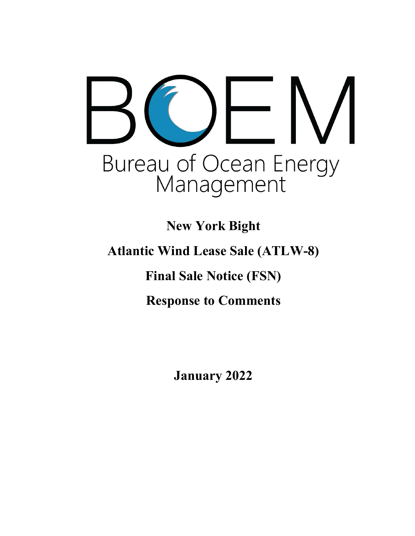# Bureau of Ocean Energy<br>Management

**New York Bight** 

**Atlantic Wind Lease Sale (ATLW-8)**

**Final Sale Notice (FSN)**

**Response to Comments**

**January 2022**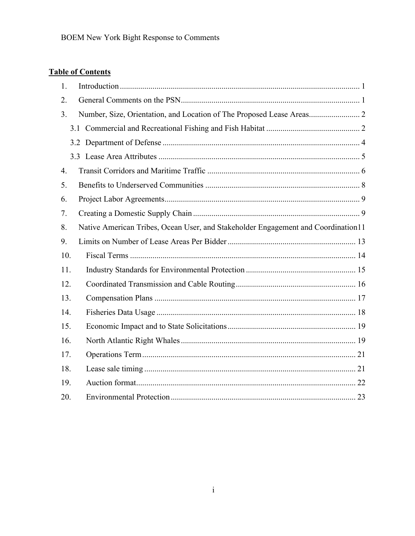# **Table of Contents**

| 1.               |                                                                                   |
|------------------|-----------------------------------------------------------------------------------|
| 2.               |                                                                                   |
| 3.               | Number, Size, Orientation, and Location of The Proposed Lease Areas 2             |
|                  |                                                                                   |
|                  |                                                                                   |
|                  |                                                                                   |
| $\overline{4}$ . |                                                                                   |
| 5.               |                                                                                   |
| 6.               |                                                                                   |
| 7.               |                                                                                   |
| 8.               | Native American Tribes, Ocean User, and Stakeholder Engagement and Coordination11 |
| 9.               |                                                                                   |
| 10.              |                                                                                   |
| 11.              |                                                                                   |
| 12.              |                                                                                   |
| 13.              |                                                                                   |
| 14.              |                                                                                   |
| 15.              |                                                                                   |
| 16.              |                                                                                   |
| 17.              |                                                                                   |
| 18.              |                                                                                   |
| 19.              |                                                                                   |
| 20.              |                                                                                   |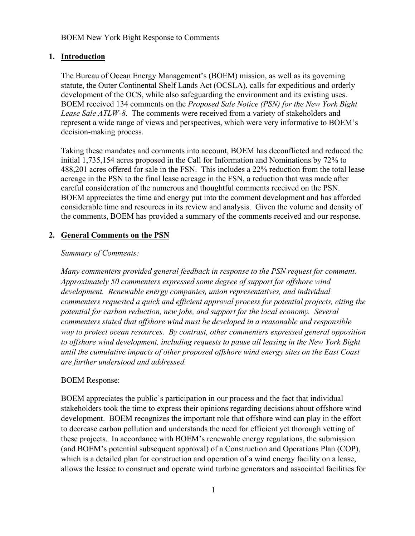### <span id="page-2-0"></span>**1. Introduction**

The Bureau of Ocean Energy Management's (BOEM) mission, as well as its governing statute, the Outer Continental Shelf Lands Act (OCSLA), calls for expeditious and orderly development of the OCS, while also safeguarding the environment and its existing uses. BOEM received 134 comments on the *Proposed Sale Notice (PSN) for the New York Bight Lease Sale ATLW-8*. The comments were received from a variety of stakeholders and represent a wide range of views and perspectives, which were very informative to BOEM's decision-making process.

Taking these mandates and comments into account, BOEM has deconflicted and reduced the initial 1,735,154 acres proposed in the Call for Information and Nominations by 72% to 488,201 acres offered for sale in the FSN. This includes a 22% reduction from the total lease acreage in the PSN to the final lease acreage in the FSN, a reduction that was made after careful consideration of the numerous and thoughtful comments received on the PSN. BOEM appreciates the time and energy put into the comment development and has afforded considerable time and resources in its review and analysis. Given the volume and density of the comments, BOEM has provided a summary of the comments received and our response.

### <span id="page-2-1"></span>**2. General Comments on the PSN**

# *Summary of Comments:*

*Many commenters provided general feedback in response to the PSN request for comment. Approximately 50 commenters expressed some degree of support for offshore wind development. Renewable energy companies, union representatives, and individual commenters requested a quick and efficient approval process for potential projects, citing the potential for carbon reduction, new jobs, and support for the local economy. Several commenters stated that offshore wind must be developed in a reasonable and responsible way to protect ocean resources. By contrast, other commenters expressed general opposition to offshore wind development, including requests to pause all leasing in the New York Bight until the cumulative impacts of other proposed offshore wind energy sites on the East Coast are further understood and addressed.* 

# BOEM Response:

BOEM appreciates the public's participation in our process and the fact that individual stakeholders took the time to express their opinions regarding decisions about offshore wind development. BOEM recognizes the important role that offshore wind can play in the effort to decrease carbon pollution and understands the need for efficient yet thorough vetting of these projects. In accordance with BOEM's renewable energy regulations, the submission (and BOEM's potential subsequent approval) of a Construction and Operations Plan (COP), which is a detailed plan for construction and operation of a wind energy facility on a lease, allows the lessee to construct and operate wind turbine generators and associated facilities for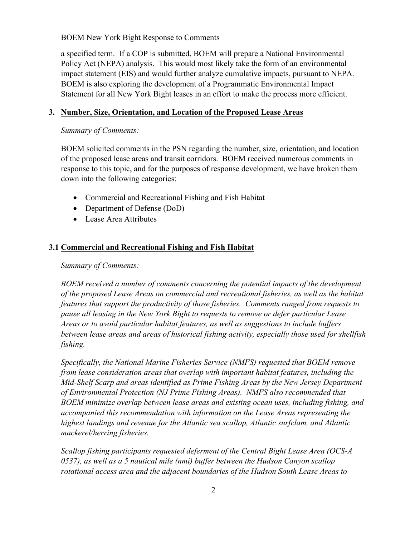a specified term. If a COP is submitted, BOEM will prepare a National Environmental Policy Act (NEPA) analysis. This would most likely take the form of an environmental impact statement (EIS) and would further analyze cumulative impacts, pursuant to NEPA. BOEM is also exploring the development of a Programmatic Environmental Impact Statement for all New York Bight leases in an effort to make the process more efficient.

# <span id="page-3-0"></span>**3. Number, Size, Orientation, and Location of the Proposed Lease Areas**

*Summary of Comments:*

BOEM solicited comments in the PSN regarding the number, size, orientation, and location of the proposed lease areas and transit corridors. BOEM received numerous comments in response to this topic, and for the purposes of response development, we have broken them down into the following categories:

- Commercial and Recreational Fishing and Fish Habitat
- Department of Defense (DoD)
- Lease Area Attributes

# <span id="page-3-1"></span>**3.1 Commercial and Recreational Fishing and Fish Habitat**

### *Summary of Comments:*

*BOEM received a number of comments concerning the potential impacts of the development of the proposed Lease Areas on commercial and recreational fisheries, as well as the habitat features that support the productivity of those fisheries. Comments ranged from requests to pause all leasing in the New York Bight to requests to remove or defer particular Lease Areas or to avoid particular habitat features, as well as suggestions to include buffers between lease areas and areas of historical fishing activity, especially those used for shellfish fishing.* 

*Specifically, the National Marine Fisheries Service (NMFS) requested that BOEM remove from lease consideration areas that overlap with important habitat features, including the Mid-Shelf Scarp and areas identified as Prime Fishing Areas by the New Jersey Department of Environmental Protection (NJ Prime Fishing Areas). NMFS also recommended that BOEM minimize overlap between lease areas and existing ocean uses, including fishing, and accompanied this recommendation with information on the Lease Areas representing the highest landings and revenue for the Atlantic sea scallop, Atlantic surfclam, and Atlantic mackerel/herring fisheries.*

*Scallop fishing participants requested deferment of the Central Bight Lease Area (OCS-A 0537), as well as a 5 nautical mile (nmi) buffer between the Hudson Canyon scallop rotational access area and the adjacent boundaries of the Hudson South Lease Areas to*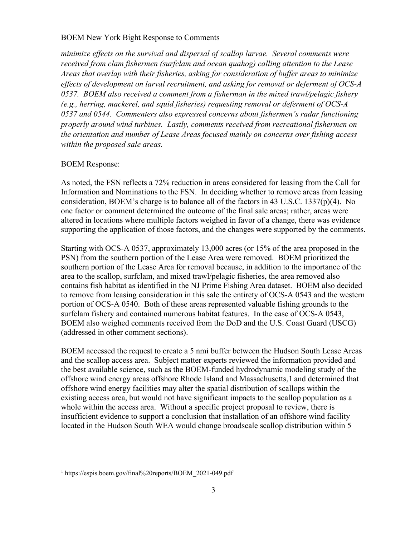*minimize effects on the survival and dispersal of scallop larvae. Several comments were received from clam fishermen (surfclam and ocean quahog) calling attention to the Lease Areas that overlap with their fisheries, asking for consideration of buffer areas to minimize effects of development on larval recruitment, and asking for removal or deferment of OCS-A 0537. BOEM also received a comment from a fisherman in the mixed trawl/pelagic fishery (e.g., herring, mackerel, and squid fisheries) requesting removal or deferment of OCS-A 0537 and 0544. Commenters also expressed concerns about fishermen's radar functioning properly around wind turbines. Lastly, comments received from recreational fishermen on the orientation and number of Lease Areas focused mainly on concerns over fishing access within the proposed sale areas.*

# BOEM Response:

As noted, the FSN reflects a 72% reduction in areas considered for leasing from the Call for Information and Nominations to the FSN. In deciding whether to remove areas from leasing consideration, BOEM's charge is to balance all of the factors in 43 U.S.C. 1337(p)(4). No one factor or comment determined the outcome of the final sale areas; rather, areas were altered in locations where multiple factors weighed in favor of a change, there was evidence supporting the application of those factors, and the changes were supported by the comments.

Starting with OCS-A 0537, approximately 13,000 acres (or 15% of the area proposed in the PSN) from the southern portion of the Lease Area were removed. BOEM prioritized the southern portion of the Lease Area for removal because, in addition to the importance of the area to the scallop, surfclam, and mixed trawl/pelagic fisheries, the area removed also contains fish habitat as identified in the NJ Prime Fishing Area dataset. BOEM also decided to remove from leasing consideration in this sale the entirety of OCS-A 0543 and the western portion of OCS-A 0540. Both of these areas represented valuable fishing grounds to the surfclam fishery and contained numerous habitat features. In the case of OCS-A 0543, BOEM also weighed comments received from the DoD and the U.S. Coast Guard (USCG) (addressed in other comment sections).

BOEM accessed the request to create a 5 nmi buffer between the Hudson South Lease Areas and the scallop access area. Subject matter experts reviewed the information provided and the best available science, such as the BOEM-funded [hydrodynamic modeling study of the](https://espis.boem.gov/final%20reports/BOEM_2021-049.pdf)  [offshore wind energy areas offshore Rhode Island and Massachusetts,](https://espis.boem.gov/final%20reports/BOEM_2021-049.pdf)[1](#page-4-0) and determined that offshore wind energy facilities may alter the spatial distribution of scallops within the existing access area, but would not have significant impacts to the scallop population as a whole within the access area. Without a specific project proposal to review, there is insufficient evidence to support a conclusion that installation of an offshore wind facility located in the Hudson South WEA would change broadscale scallop distribution within 5

<span id="page-4-0"></span><sup>1</sup> https://espis.boem.gov/final%20reports/BOEM\_2021-049.pdf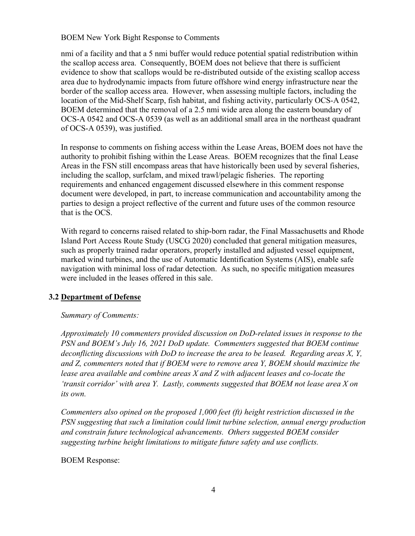nmi of a facility and that a 5 nmi buffer would reduce potential spatial redistribution within the scallop access area. Consequently, BOEM does not believe that there is sufficient evidence to show that scallops would be re-distributed outside of the existing scallop access area due to hydrodynamic impacts from future offshore wind energy infrastructure near the border of the scallop access area. However, when assessing multiple factors, including the location of the Mid-Shelf Scarp, fish habitat, and fishing activity, particularly OCS-A 0542, BOEM determined that the removal of a 2.5 nmi wide area along the eastern boundary of OCS-A 0542 and OCS-A 0539 (as well as an additional small area in the northeast quadrant of OCS-A 0539), was justified.

In response to comments on fishing access within the Lease Areas, BOEM does not have the authority to prohibit fishing within the Lease Areas. BOEM recognizes that the final Lease Areas in the FSN still encompass areas that have historically been used by several fisheries, including the scallop, surfclam, and mixed trawl/pelagic fisheries. The reporting requirements and enhanced engagement discussed elsewhere in this comment response document were developed, in part, to increase communication and accountability among the parties to design a project reflective of the current and future uses of the common resource that is the OCS.

With regard to concerns raised related to ship-born radar, the Final Massachusetts and Rhode Island Port Access Route Study (USCG 2020) concluded that general mitigation measures, such as properly trained radar operators, properly installed and adjusted vessel equipment, marked wind turbines, and the use of Automatic Identification Systems (AIS), enable safe navigation with minimal loss of radar detection. As such, no specific mitigation measures were included in the leases offered in this sale.

# <span id="page-5-0"></span>**3.2 Department of Defense**

# *Summary of Comments:*

*Approximately 10 commenters provided discussion on DoD-related issues in response to the PSN and BOEM's July 16, 2021 DoD update. Commenters suggested that BOEM continue deconflicting discussions with DoD to increase the area to be leased. Regarding areas X, Y, and Z, commenters noted that if BOEM were to remove area Y, BOEM should maximize the lease area available and combine areas X and Z with adjacent leases and co-locate the 'transit corridor' with area Y. Lastly, comments suggested that BOEM not lease area X on its own.* 

*Commenters also opined on the proposed 1,000 feet (ft) height restriction discussed in the PSN suggesting that such a limitation could limit turbine selection, annual energy production and constrain future technological advancements. Others suggested BOEM consider suggesting turbine height limitations to mitigate future safety and use conflicts.* 

BOEM Response: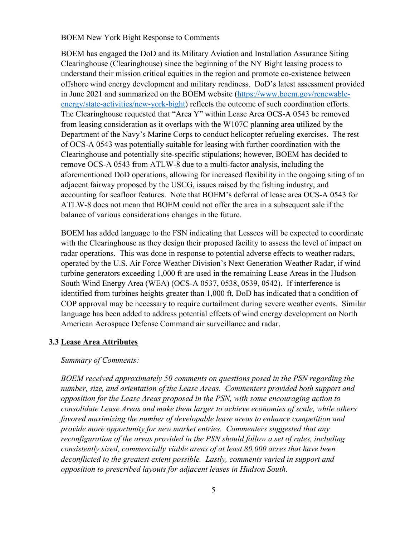BOEM has engaged the DoD and its Military Aviation and Installation Assurance Siting Clearinghouse (Clearinghouse) since the beginning of the NY Bight leasing process to understand their mission critical equities in the region and promote co-existence between offshore wind energy development and military readiness. DoD's latest assessment provided in June 2021 and summarized on the BOEM website [\(https://www.boem.gov/renewable](https://www.boem.gov/renewable-energy/state-activities/new-york-bight)[energy/state-activities/new-york-bight\)](https://www.boem.gov/renewable-energy/state-activities/new-york-bight) reflects the outcome of such coordination efforts. The Clearinghouse requested that "Area Y" within Lease Area OCS-A 0543 be removed from leasing consideration as it overlaps with the W107C planning area utilized by the Department of the Navy's Marine Corps to conduct helicopter refueling exercises. The rest of OCS-A 0543 was potentially suitable for leasing with further coordination with the Clearinghouse and potentially site-specific stipulations; however, BOEM has decided to remove OCS-A 0543 from ATLW-8 due to a multi-factor analysis, including the aforementioned DoD operations, allowing for increased flexibility in the ongoing siting of an adjacent fairway proposed by the USCG, issues raised by the fishing industry, and accounting for seafloor features. Note that BOEM's deferral of lease area OCS-A 0543 for ATLW-8 does not mean that BOEM could not offer the area in a subsequent sale if the balance of various considerations changes in the future.

BOEM has added language to the FSN indicating that Lessees will be expected to coordinate with the Clearinghouse as they design their proposed facility to assess the level of impact on radar operations. This was done in response to potential adverse effects to weather radars, operated by the U.S. Air Force Weather Division's Next Generation Weather Radar, if wind turbine generators exceeding 1,000 ft are used in the remaining Lease Areas in the Hudson South Wind Energy Area (WEA) (OCS-A 0537, 0538, 0539, 0542). If interference is identified from turbines heights greater than 1,000 ft, DoD has indicated that a condition of COP approval may be necessary to require curtailment during severe weather events. Similar language has been added to address potential effects of wind energy development on North American Aerospace Defense Command air surveillance and radar.

### <span id="page-6-0"></span>**3.3 Lease Area Attributes**

### *Summary of Comments:*

*BOEM received approximately 50 comments on questions posed in the PSN regarding the number, size, and orientation of the Lease Areas. Commenters provided both support and opposition for the Lease Areas proposed in the PSN, with some encouraging action to consolidate Lease Areas and make them larger to achieve economies of scale, while others favored maximizing the number of developable lease areas to enhance competition and provide more opportunity for new market entries. Commenters suggested that any reconfiguration of the areas provided in the PSN should follow a set of rules, including consistently sized, commercially viable areas of at least 80,000 acres that have been deconflicted to the greatest extent possible. Lastly, comments varied in support and opposition to prescribed layouts for adjacent leases in Hudson South.*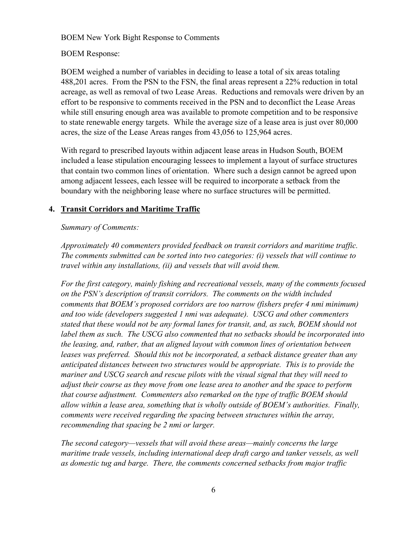# BOEM Response:

BOEM weighed a number of variables in deciding to lease a total of six areas totaling 488,201 acres. From the PSN to the FSN, the final areas represent a 22% reduction in total acreage, as well as removal of two Lease Areas. Reductions and removals were driven by an effort to be responsive to comments received in the PSN and to deconflict the Lease Areas while still ensuring enough area was available to promote competition and to be responsive to state renewable energy targets. While the average size of a lease area is just over 80,000 acres, the size of the Lease Areas ranges from 43,056 to 125,964 acres.

With regard to prescribed layouts within adjacent lease areas in Hudson South, BOEM included a lease stipulation encouraging lessees to implement a layout of surface structures that contain two common lines of orientation. Where such a design cannot be agreed upon among adjacent lessees, each lessee will be required to incorporate a setback from the boundary with the neighboring lease where no surface structures will be permitted.

# <span id="page-7-0"></span>**4. Transit Corridors and Maritime Traffic**

# *Summary of Comments:*

*Approximately 40 commenters provided feedback on transit corridors and maritime traffic. The comments submitted can be sorted into two categories: (i) vessels that will continue to travel within any installations, (ii) and vessels that will avoid them.* 

*For the first category, mainly fishing and recreational vessels, many of the comments focused on the PSN's description of transit corridors. The comments on the width included comments that BOEM's proposed corridors are too narrow (fishers prefer 4 nmi minimum) and too wide (developers suggested 1 nmi was adequate). USCG and other commenters stated that these would not be any formal lanes for transit, and, as such, BOEM should not label them as such. The USCG also commented that no setbacks should be incorporated into the leasing, and, rather, that an aligned layout with common lines of orientation between leases was preferred. Should this not be incorporated, a setback distance greater than any anticipated distances between two structures would be appropriate. This is to provide the mariner and USCG search and rescue pilots with the visual signal that they will need to adjust their course as they move from one lease area to another and the space to perform that course adjustment. Commenters also remarked on the type of traffic BOEM should allow within a lease area, something that is wholly outside of BOEM's authorities. Finally, comments were received regarding the spacing between structures within the array, recommending that spacing be 2 nmi or larger.*

*The second category—vessels that will avoid these areas—mainly concerns the large maritime trade vessels, including international deep draft cargo and tanker vessels, as well as domestic tug and barge. There, the comments concerned setbacks from major traffic*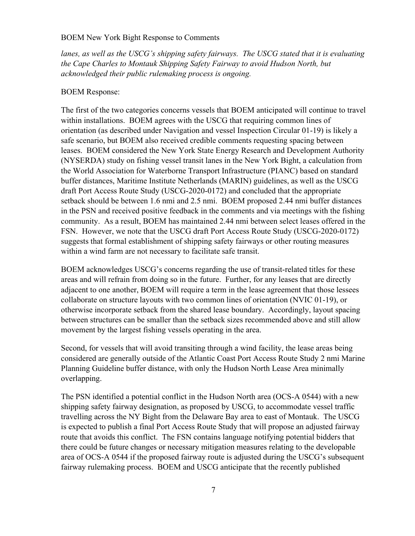*lanes, as well as the USCG's shipping safety fairways. The USCG stated that it is evaluating the Cape Charles to Montauk Shipping Safety Fairway to avoid Hudson North, but acknowledged their public rulemaking process is ongoing.*

### BOEM Response:

The first of the two categories concerns vessels that BOEM anticipated will continue to travel within installations. BOEM agrees with the USCG that requiring common lines of orientation (as described under Navigation and vessel Inspection Circular 01-19) is likely a safe scenario, but BOEM also received credible comments requesting spacing between leases. BOEM considered the New York State Energy Research and Development Authority (NYSERDA) study on fishing vessel transit lanes in the New York Bight, a calculation from the World Association for Waterborne Transport Infrastructure (PIANC) based on standard buffer distances, Maritime Institute Netherlands (MARIN) guidelines, as well as the USCG draft Port Access Route Study (USCG-2020-0172) and concluded that the appropriate setback should be between 1.6 nmi and 2.5 nmi. BOEM proposed 2.44 nmi buffer distances in the PSN and received positive feedback in the comments and via meetings with the fishing community. As a result, BOEM has maintained 2.44 nmi between select leases offered in the FSN. However, we note that the USCG draft Port Access Route Study (USCG-2020-0172) suggests that formal establishment of shipping safety fairways or other routing measures within a wind farm are not necessary to facilitate safe transit.

BOEM acknowledges USCG's concerns regarding the use of transit-related titles for these areas and will refrain from doing so in the future. Further, for any leases that are directly adjacent to one another, BOEM will require a term in the lease agreement that those lessees collaborate on structure layouts with two common lines of orientation (NVIC 01-19), or otherwise incorporate setback from the shared lease boundary. Accordingly, layout spacing between structures can be smaller than the setback sizes recommended above and still allow movement by the largest fishing vessels operating in the area.

Second, for vessels that will avoid transiting through a wind facility, the lease areas being considered are generally outside of the Atlantic Coast Port Access Route Study 2 nmi Marine Planning Guideline buffer distance, with only the Hudson North Lease Area minimally overlapping.

The PSN identified a potential conflict in the Hudson North area (OCS-A 0544) with a new shipping safety fairway designation, as proposed by USCG, to accommodate vessel traffic travelling across the NY Bight from the Delaware Bay area to east of Montauk. The USCG is expected to publish a final Port Access Route Study that will propose an adjusted fairway route that avoids this conflict. The FSN contains language notifying potential bidders that there could be future changes or necessary mitigation measures relating to the developable area of OCS-A 0544 if the proposed fairway route is adjusted during the USCG's subsequent fairway rulemaking process. BOEM and USCG anticipate that the recently published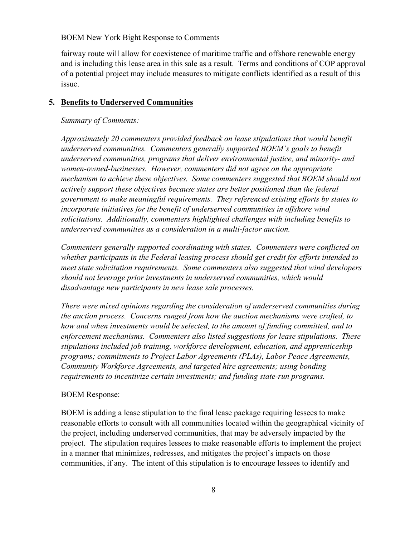fairway route will allow for coexistence of maritime traffic and offshore renewable energy and is including this lease area in this sale as a result. Terms and conditions of COP approval of a potential project may include measures to mitigate conflicts identified as a result of this issue.

## <span id="page-9-0"></span>**5. Benefits to Underserved Communities**

### *Summary of Comments:*

*Approximately 20 commenters provided feedback on lease stipulations that would benefit underserved communities. Commenters generally supported BOEM's goals to benefit underserved communities, programs that deliver environmental justice, and minority- and women-owned-businesses. However, commenters did not agree on the appropriate mechanism to achieve these objectives. Some commenters suggested that BOEM should not actively support these objectives because states are better positioned than the federal government to make meaningful requirements. They referenced existing efforts by states to incorporate initiatives for the benefit of underserved communities in offshore wind solicitations. Additionally, commenters highlighted challenges with including benefits to underserved communities as a consideration in a multi-factor auction.* 

*Commenters generally supported coordinating with states. Commenters were conflicted on whether participants in the Federal leasing process should get credit for efforts intended to meet state solicitation requirements. Some commenters also suggested that wind developers should not leverage prior investments in underserved communities, which would disadvantage new participants in new lease sale processes.*

*There were mixed opinions regarding the consideration of underserved communities during the auction process. Concerns ranged from how the auction mechanisms were crafted, to how and when investments would be selected, to the amount of funding committed, and to enforcement mechanisms. Commenters also listed suggestions for lease stipulations. These stipulations included job training, workforce development, education, and apprenticeship programs; commitments to Project Labor Agreements (PLAs), Labor Peace Agreements, Community Workforce Agreements, and targeted hire agreements; using bonding requirements to incentivize certain investments; and funding state-run programs.*

# BOEM Response:

BOEM is adding a lease stipulation to the final lease package requiring lessees to make reasonable efforts to consult with all communities located within the geographical vicinity of the project, including underserved communities, that may be adversely impacted by the project. The stipulation requires lessees to make reasonable efforts to implement the project in a manner that minimizes, redresses, and mitigates the project's impacts on those communities, if any. The intent of this stipulation is to encourage lessees to identify and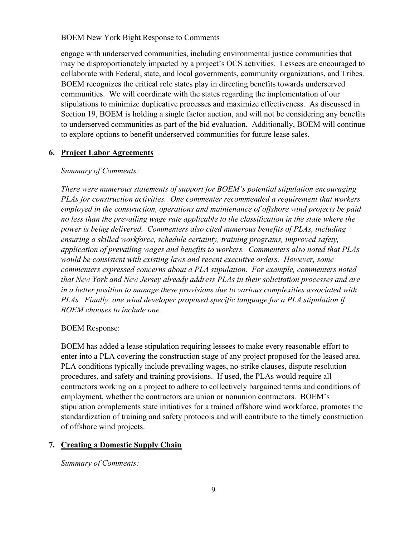engage with underserved communities, including environmental justice communities that may be disproportionately impacted by a project's OCS activities. Lessees are encouraged to collaborate with Federal, state, and local governments, community organizations, and Tribes. BOEM recognizes the critical role states play in directing benefits towards underserved communities. We will coordinate with the states regarding the implementation of our stipulations to minimize duplicative processes and maximize effectiveness. As discussed in Section [19,](#page-23-0) BOEM is holding a single factor auction, and will not be considering any benefits to underserved communities as part of the bid evaluation. Additionally, BOEM will continue to explore options to benefit underserved communities for future lease sales.

# <span id="page-10-0"></span>**6. Project Labor Agreements**

### *Summary of Comments:*

*There were numerous statements of support for BOEM's potential stipulation encouraging PLAs for construction activities. One commenter recommended a requirement that workers employed in the construction, operations and maintenance of offshore wind projects be paid no less than the prevailing wage rate applicable to the classification in the state where the power is being delivered. Commenters also cited numerous benefits of PLAs, including ensuring a skilled workforce, schedule certainty, training programs, improved safety, application of prevailing wages and benefits to workers. Commenters also noted that PLAs would be consistent with existing laws and recent executive orders. However, some commenters expressed concerns about a PLA stipulation. For example, commenters noted that New York and New Jersey already address PLAs in their solicitation processes and are in a better position to manage these provisions due to various complexities associated with PLAs. Finally, one wind developer proposed specific language for a PLA stipulation if BOEM chooses to include one.*

### BOEM Response:

BOEM has added a lease stipulation requiring lessees to make every reasonable effort to enter into a PLA covering the construction stage of any project proposed for the leased area. PLA conditions typically include prevailing wages, no-strike clauses, dispute resolution procedures, and safety and training provisions. If used, the PLAs would require all contractors working on a project to adhere to collectively bargained terms and conditions of employment, whether the contractors are union or nonunion contractors. BOEM's stipulation complements state initiatives for a trained offshore wind workforce, promotes the standardization of training and safety protocols and will contribute to the timely construction of offshore wind projects.

# <span id="page-10-1"></span>**7. Creating a Domestic Supply Chain**

*Summary of Comments:*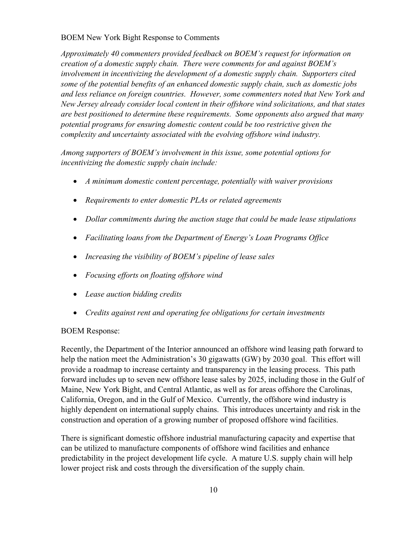*Approximately 40 commenters provided feedback on BOEM's request for information on creation of a domestic supply chain. There were comments for and against BOEM's involvement in incentivizing the development of a domestic supply chain. Supporters cited some of the potential benefits of an enhanced domestic supply chain, such as domestic jobs and less reliance on foreign countries. However, some commenters noted that New York and New Jersey already consider local content in their offshore wind solicitations, and that states are best positioned to determine these requirements. Some opponents also argued that many potential programs for ensuring domestic content could be too restrictive given the complexity and uncertainty associated with the evolving offshore wind industry.*

*Among supporters of BOEM's involvement in this issue, some potential options for incentivizing the domestic supply chain include:*

- *A minimum domestic content percentage, potentially with waiver provisions*
- *Requirements to enter domestic PLAs or related agreements*
- *Dollar commitments during the auction stage that could be made lease stipulations*
- *Facilitating loans from the Department of Energy's Loan Programs Office*
- *Increasing the visibility of BOEM's pipeline of lease sales*
- *Focusing efforts on floating offshore wind*
- *Lease auction bidding credits*
- *Credits against rent and operating fee obligations for certain investments*

### BOEM Response:

Recently, the Department of the Interior announced an offshore wind leasing path forward to help the nation meet the Administration's 30 gigawatts (GW) by 2030 goal. This effort will provide a roadmap to increase certainty and transparency in the leasing process. This path forward includes up to seven new offshore lease sales by 2025, including those in the Gulf of Maine, New York Bight, and Central Atlantic, as well as for areas offshore the Carolinas, California, Oregon, and in the Gulf of Mexico. Currently, the offshore wind industry is highly dependent on international supply chains. This introduces uncertainty and risk in the construction and operation of a growing number of proposed offshore wind facilities.

There is significant domestic offshore industrial manufacturing capacity and expertise that can be utilized to manufacture components of offshore wind facilities and enhance predictability in the project development life cycle. A mature U.S. supply chain will help lower project risk and costs through the diversification of the supply chain.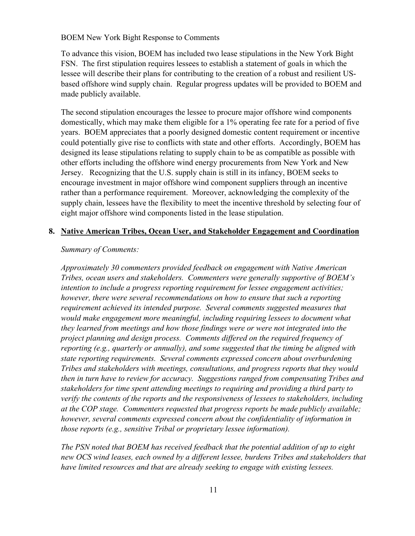To advance this vision, BOEM has included two lease stipulations in the New York Bight FSN. The first stipulation requires lessees to establish a statement of goals in which the lessee will describe their plans for contributing to the creation of a robust and resilient USbased offshore wind supply chain. Regular progress updates will be provided to BOEM and made publicly available.

The second stipulation encourages the lessee to procure major offshore wind components domestically, which may make them eligible for a 1% operating fee rate for a period of five years. BOEM appreciates that a poorly designed domestic content requirement or incentive could potentially give rise to conflicts with state and other efforts. Accordingly, BOEM has designed its lease stipulations relating to supply chain to be as compatible as possible with other efforts including the offshore wind energy procurements from New York and New Jersey. Recognizing that the U.S. supply chain is still in its infancy, BOEM seeks to encourage investment in major offshore wind component suppliers through an incentive rather than a performance requirement. Moreover, acknowledging the complexity of the supply chain, lessees have the flexibility to meet the incentive threshold by selecting four of eight major offshore wind components listed in the lease stipulation.

# <span id="page-12-0"></span>**8. Native American Tribes, Ocean User, and Stakeholder Engagement and Coordination**

### *Summary of Comments:*

*Approximately 30 commenters provided feedback on engagement with Native American Tribes, ocean users and stakeholders. Commenters were generally supportive of BOEM's intention to include a progress reporting requirement for lessee engagement activities; however, there were several recommendations on how to ensure that such a reporting requirement achieved its intended purpose. Several comments suggested measures that*  would make engagement more meaningful, including requiring lessees to document what *they learned from meetings and how those findings were or were not integrated into the project planning and design process. Comments differed on the required frequency of reporting (e.g., quarterly or annually), and some suggested that the timing be aligned with state reporting requirements. Several comments expressed concern about overburdening Tribes and stakeholders with meetings, consultations, and progress reports that they would then in turn have to review for accuracy. Suggestions ranged from compensating Tribes and stakeholders for time spent attending meetings to requiring and providing a third party to verify the contents of the reports and the responsiveness of lessees to stakeholders, including at the COP stage. Commenters requested that progress reports be made publicly available; however, several comments expressed concern about the confidentiality of information in those reports (e.g., sensitive Tribal or proprietary lessee information).* 

*The PSN noted that BOEM has received feedback that the potential addition of up to eight new OCS wind leases, each owned by a different lessee, burdens Tribes and stakeholders that have limited resources and that are already seeking to engage with existing lessees.*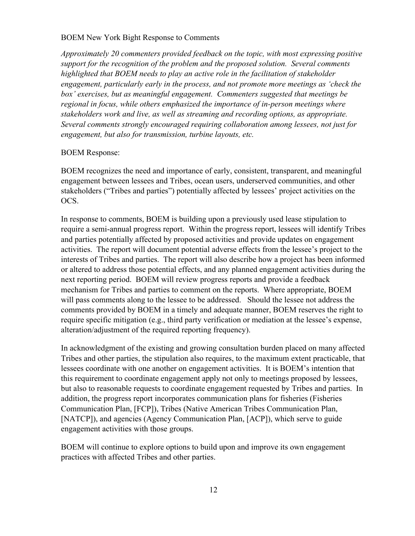*Approximately 20 commenters provided feedback on the topic, with most expressing positive support for the recognition of the problem and the proposed solution. Several comments highlighted that BOEM needs to play an active role in the facilitation of stakeholder engagement, particularly early in the process, and not promote more meetings as 'check the box' exercises, but as meaningful engagement. Commenters suggested that meetings be regional in focus, while others emphasized the importance of in-person meetings where stakeholders work and live, as well as streaming and recording options, as appropriate. Several comments strongly encouraged requiring collaboration among lessees, not just for engagement, but also for transmission, turbine layouts, etc.*

### BOEM Response:

BOEM recognizes the need and importance of early, consistent, transparent, and meaningful engagement between lessees and Tribes, ocean users, underserved communities, and other stakeholders ("Tribes and parties") potentially affected by lessees' project activities on the OCS.

In response to comments, BOEM is building upon a previously used lease stipulation to require a semi-annual progress report. Within the progress report, lessees will identify Tribes and parties potentially affected by proposed activities and provide updates on engagement activities. The report will document potential adverse effects from the lessee's project to the interests of Tribes and parties. The report will also describe how a project has been informed or altered to address those potential effects, and any planned engagement activities during the next reporting period. BOEM will review progress reports and provide a feedback mechanism for Tribes and parties to comment on the reports. Where appropriate, BOEM will pass comments along to the lessee to be addressed. Should the lessee not address the comments provided by BOEM in a timely and adequate manner, BOEM reserves the right to require specific mitigation (e.g., third party verification or mediation at the lessee's expense, alteration/adjustment of the required reporting frequency).

In acknowledgment of the existing and growing consultation burden placed on many affected Tribes and other parties, the stipulation also requires, to the maximum extent practicable, that lessees coordinate with one another on engagement activities. It is BOEM's intention that this requirement to coordinate engagement apply not only to meetings proposed by lessees, but also to reasonable requests to coordinate engagement requested by Tribes and parties. In addition, the progress report incorporates communication plans for fisheries (Fisheries Communication Plan, [FCP]), Tribes (Native American Tribes Communication Plan, [NATCP]), and agencies (Agency Communication Plan, [ACP]), which serve to guide engagement activities with those groups.

BOEM will continue to explore options to build upon and improve its own engagement practices with affected Tribes and other parties.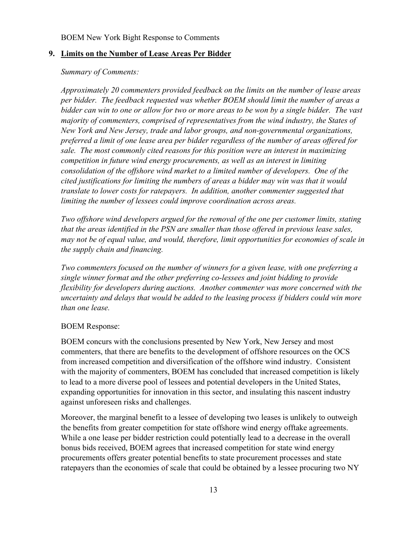# <span id="page-14-0"></span>**9. Limits on the Number of Lease Areas Per Bidder**

## *Summary of Comments:*

*Approximately 20 commenters provided feedback on the limits on the number of lease areas per bidder. The feedback requested was whether BOEM should limit the number of areas a bidder can win to one or allow for two or more areas to be won by a single bidder. The vast majority of commenters, comprised of representatives from the wind industry, the States of New York and New Jersey, trade and labor groups, and non-governmental organizations, preferred a limit of one lease area per bidder regardless of the number of areas offered for sale. The most commonly cited reasons for this position were an interest in maximizing competition in future wind energy procurements, as well as an interest in limiting consolidation of the offshore wind market to a limited number of developers. One of the cited justifications for limiting the numbers of areas a bidder may win was that it would translate to lower costs for ratepayers. In addition, another commenter suggested that limiting the number of lessees could improve coordination across areas.*

*Two offshore wind developers argued for the removal of the one per customer limits, stating that the areas identified in the PSN are smaller than those offered in previous lease sales, may not be of equal value, and would, therefore, limit opportunities for economies of scale in the supply chain and financing.* 

*Two commenters focused on the number of winners for a given lease, with one preferring a single winner format and the other preferring co-lessees and joint bidding to provide flexibility for developers during auctions. Another commenter was more concerned with the uncertainty and delays that would be added to the leasing process if bidders could win more than one lease.*

# BOEM Response:

BOEM concurs with the conclusions presented by New York, New Jersey and most commenters, that there are benefits to the development of offshore resources on the OCS from increased competition and diversification of the offshore wind industry. Consistent with the majority of commenters, BOEM has concluded that increased competition is likely to lead to a more diverse pool of lessees and potential developers in the United States, expanding opportunities for innovation in this sector, and insulating this nascent industry against unforeseen risks and challenges.

Moreover, the marginal benefit to a lessee of developing two leases is unlikely to outweigh the benefits from greater competition for state offshore wind energy offtake agreements. While a one lease per bidder restriction could potentially lead to a decrease in the overall bonus bids received, BOEM agrees that increased competition for state wind energy procurements offers greater potential benefits to state procurement processes and state ratepayers than the economies of scale that could be obtained by a lessee procuring two NY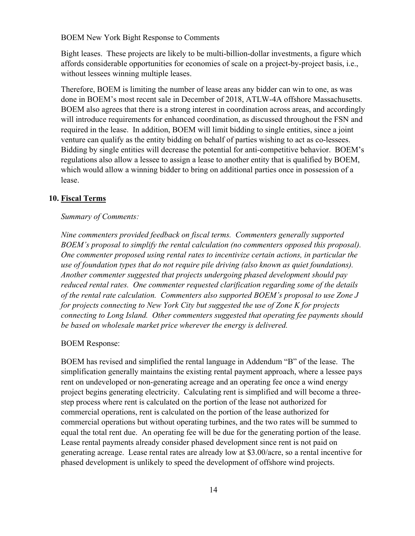Bight leases. These projects are likely to be multi-billion-dollar investments, a figure which affords considerable opportunities for economies of scale on a project-by-project basis, i.e., without lessees winning multiple leases.

Therefore, BOEM is limiting the number of lease areas any bidder can win to one, as was done in BOEM's most recent sale in December of 2018, ATLW-4A offshore Massachusetts. BOEM also agrees that there is a strong interest in coordination across areas, and accordingly will introduce requirements for enhanced coordination, as discussed throughout the FSN and required in the lease. In addition, BOEM will limit bidding to single entities, since a joint venture can qualify as the entity bidding on behalf of parties wishing to act as co-lessees. Bidding by single entities will decrease the potential for anti-competitive behavior. BOEM's regulations also allow a lessee to assign a lease to another entity that is qualified by BOEM, which would allow a winning bidder to bring on additional parties once in possession of a lease.

# <span id="page-15-0"></span>**10. Fiscal Terms**

### *Summary of Comments:*

*Nine commenters provided feedback on fiscal terms. Commenters generally supported BOEM's proposal to simplify the rental calculation (no commenters opposed this proposal). One commenter proposed using rental rates to incentivize certain actions, in particular the use of foundation types that do not require pile driving (also known as quiet foundations). Another commenter suggested that projects undergoing phased development should pay reduced rental rates. One commenter requested clarification regarding some of the details of the rental rate calculation. Commenters also supported BOEM's proposal to use Zone J for projects connecting to New York City but suggested the use of Zone K for projects connecting to Long Island. Other commenters suggested that operating fee payments should be based on wholesale market price wherever the energy is delivered.*

### BOEM Response:

BOEM has revised and simplified the rental language in Addendum "B" of the lease. The simplification generally maintains the existing rental payment approach, where a lessee pays rent on undeveloped or non-generating acreage and an operating fee once a wind energy project begins generating electricity. Calculating rent is simplified and will become a threestep process where rent is calculated on the portion of the lease not authorized for commercial operations, rent is calculated on the portion of the lease authorized for commercial operations but without operating turbines, and the two rates will be summed to equal the total rent due. An operating fee will be due for the generating portion of the lease. Lease rental payments already consider phased development since rent is not paid on generating acreage. Lease rental rates are already low at \$3.00/acre, so a rental incentive for phased development is unlikely to speed the development of offshore wind projects.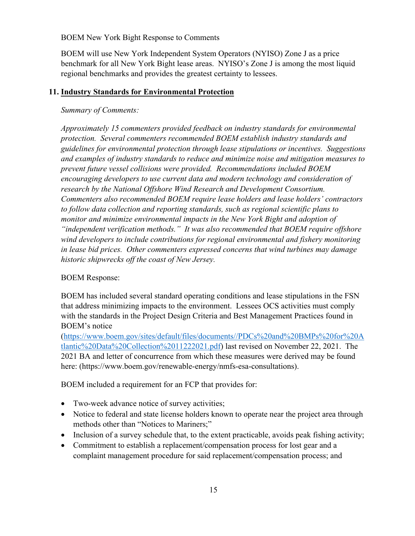BOEM will use New York Independent System Operators (NYISO) Zone J as a price benchmark for all New York Bight lease areas. NYISO's Zone J is among the most liquid regional benchmarks and provides the greatest certainty to lessees.

# <span id="page-16-0"></span>**11. Industry Standards for Environmental Protection**

# *Summary of Comments:*

*Approximately 15 commenters provided feedback on industry standards for environmental protection. Several commenters recommended BOEM establish industry standards and guidelines for environmental protection through lease stipulations or incentives. Suggestions and examples of industry standards to reduce and minimize noise and mitigation measures to prevent future vessel collisions were provided. Recommendations included BOEM encouraging developers to use current data and modern technology and consideration of research by the National Offshore Wind Research and Development Consortium. Commenters also recommended BOEM require lease holders and lease holders' contractors to follow data collection and reporting standards, such as regional scientific plans to monitor and minimize environmental impacts in the New York Bight and adoption of "independent verification methods." It was also recommended that BOEM require offshore wind developers to include contributions for regional environmental and fishery monitoring in lease bid prices. Other commenters expressed concerns that wind turbines may damage historic shipwrecks off the coast of New Jersey.*

# BOEM Response:

BOEM has included several standard operating conditions and lease stipulations in the FSN that address minimizing impacts to the environment. Lessees OCS activities must comply with the standards in the Project Design Criteria and Best Management Practices found in BOEM's notice

[\(https://www.boem.gov/sites/default/files/documents//PDCs%20and%20BMPs%20for%20A](https://www.boem.gov/sites/default/files/documents/PDCs%20and%20BMPs%20for%20Atlantic%20Data%20Collection%2011222021.pdf) [tlantic%20Data%20Collection%2011222021.pdf\)](https://www.boem.gov/sites/default/files/documents/PDCs%20and%20BMPs%20for%20Atlantic%20Data%20Collection%2011222021.pdf) last revised on November 22, 2021. The 2021 BA and letter of concurrence from which these measures were derived may be found here: (https://www.boem.gov/renewable-energy/nmfs-esa-consultations).

BOEM included a requirement for an FCP that provides for:

- Two-week advance notice of survey activities;
- Notice to federal and state license holders known to operate near the project area through methods other than "Notices to Mariners;"
- Inclusion of a survey schedule that, to the extent practicable, avoids peak fishing activity;
- Commitment to establish a replacement/compensation process for lost gear and a complaint management procedure for said replacement/compensation process; and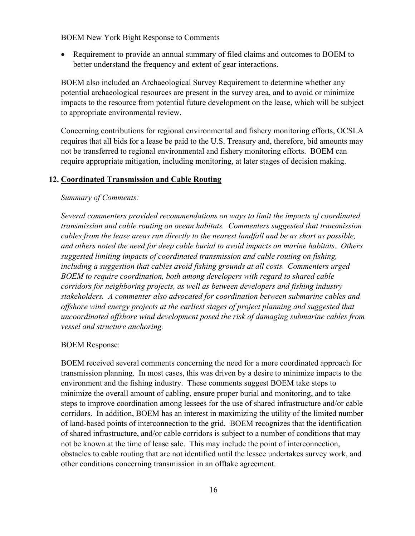• Requirement to provide an annual summary of filed claims and outcomes to BOEM to better understand the frequency and extent of gear interactions.

BOEM also included an Archaeological Survey Requirement to determine whether any potential archaeological resources are present in the survey area, and to avoid or minimize impacts to the resource from potential future development on the lease, which will be subject to appropriate environmental review.

Concerning contributions for regional environmental and fishery monitoring efforts, OCSLA requires that all bids for a lease be paid to the U.S. Treasury and, therefore, bid amounts may not be transferred to regional environmental and fishery monitoring efforts. BOEM can require appropriate mitigation, including monitoring, at later stages of decision making.

### <span id="page-17-0"></span>**12. Coordinated Transmission and Cable Routing**

### *Summary of Comments:*

*Several commenters provided recommendations on ways to limit the impacts of coordinated transmission and cable routing on ocean habitats. Commenters suggested that transmission cables from the lease areas run directly to the nearest landfall and be as short as possible, and others noted the need for deep cable burial to avoid impacts on marine habitats. Others suggested limiting impacts of coordinated transmission and cable routing on fishing, including a suggestion that cables avoid fishing grounds at all costs. Commenters urged BOEM to require coordination, both among developers with regard to shared cable corridors for neighboring projects, as well as between developers and fishing industry stakeholders. A commenter also advocated for coordination between submarine cables and offshore wind energy projects at the earliest stages of project planning and suggested that uncoordinated offshore wind development posed the risk of damaging submarine cables from vessel and structure anchoring.*

### BOEM Response:

BOEM received several comments concerning the need for a more coordinated approach for transmission planning. In most cases, this was driven by a desire to minimize impacts to the environment and the fishing industry. These comments suggest BOEM take steps to minimize the overall amount of cabling, ensure proper burial and monitoring, and to take steps to improve coordination among lessees for the use of shared infrastructure and/or cable corridors. In addition, BOEM has an interest in maximizing the utility of the limited number of land-based points of interconnection to the grid. BOEM recognizes that the identification of shared infrastructure, and/or cable corridors is subject to a number of conditions that may not be known at the time of lease sale. This may include the point of interconnection, obstacles to cable routing that are not identified until the lessee undertakes survey work, and other conditions concerning transmission in an offtake agreement.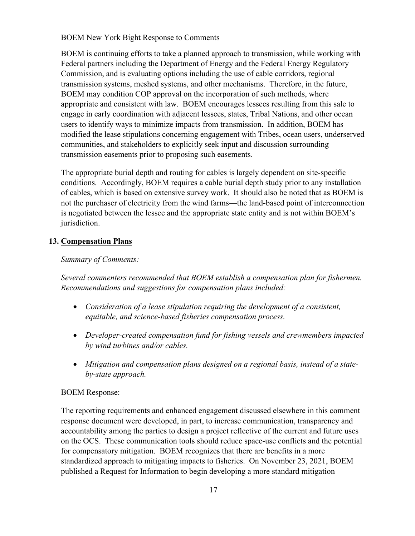BOEM is continuing efforts to take a planned approach to transmission, while working with Federal partners including the Department of Energy and the Federal Energy Regulatory Commission, and is evaluating options including the use of cable corridors, regional transmission systems, meshed systems, and other mechanisms. Therefore, in the future, BOEM may condition COP approval on the incorporation of such methods, where appropriate and consistent with law. BOEM encourages lessees resulting from this sale to engage in early coordination with adjacent lessees, states, Tribal Nations, and other ocean users to identify ways to minimize impacts from transmission. In addition, BOEM has modified the lease stipulations concerning engagement with Tribes, ocean users, underserved communities, and stakeholders to explicitly seek input and discussion surrounding transmission easements prior to proposing such easements.

The appropriate burial depth and routing for cables is largely dependent on site-specific conditions. Accordingly, BOEM requires a cable burial depth study prior to any installation of cables, which is based on extensive survey work. It should also be noted that as BOEM is not the purchaser of electricity from the wind farms—the land-based point of interconnection is negotiated between the lessee and the appropriate state entity and is not within BOEM's jurisdiction.

# <span id="page-18-0"></span>**13. Compensation Plans**

# *Summary of Comments:*

*Several commenters recommended that BOEM establish a compensation plan for fishermen. Recommendations and suggestions for compensation plans included:* 

- *Consideration of a lease stipulation requiring the development of a consistent, equitable, and science-based fisheries compensation process.*
- *Developer-created compensation fund for fishing vessels and crewmembers impacted by wind turbines and/or cables.*
- *Mitigation and compensation plans designed on a regional basis, instead of a stateby-state approach.*

# BOEM Response:

The reporting requirements and enhanced engagement discussed elsewhere in this comment response document were developed, in part, to increase communication, transparency and accountability among the parties to design a project reflective of the current and future uses on the OCS. These communication tools should reduce space-use conflicts and the potential for compensatory mitigation. BOEM recognizes that there are benefits in a more standardized approach to mitigating impacts to fisheries. On November 23, 2021, BOEM published a Request for Information to begin developing a more standard mitigation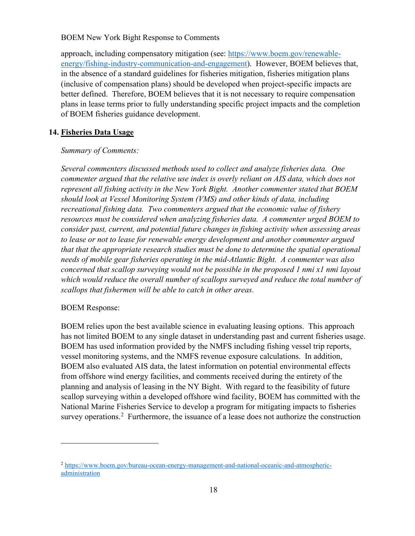approach, including compensatory mitigation (see: [https://www.boem.gov/renewable](https://www.boem.gov/renewable-energy/fishing-industry-communication-and-engagement)[energy/fishing-industry-communication-and-engagement\)](https://www.boem.gov/renewable-energy/fishing-industry-communication-and-engagement). However, BOEM believes that, in the absence of a standard guidelines for fisheries mitigation, fisheries mitigation plans (inclusive of compensation plans) should be developed when project-specific impacts are better defined. Therefore, BOEM believes that it is not necessary to require compensation plans in lease terms prior to fully understanding specific project impacts and the completion of BOEM fisheries guidance development.

# <span id="page-19-0"></span>**14. Fisheries Data Usage**

# *Summary of Comments:*

*Several commenters discussed methods used to collect and analyze fisheries data. One commenter argued that the relative use index is overly reliant on AIS data, which does not represent all fishing activity in the New York Bight. Another commenter stated that BOEM should look at Vessel Monitoring System (VMS) and other kinds of data, including recreational fishing data. Two commenters argued that the economic value of fishery resources must be considered when analyzing fisheries data. A commenter urged BOEM to consider past, current, and potential future changes in fishing activity when assessing areas to lease or not to lease for renewable energy development and another commenter argued that that the appropriate research studies must be done to determine the spatial operational needs of mobile gear fisheries operating in the mid-Atlantic Bight. A commenter was also concerned that scallop surveying would not be possible in the proposed 1 nmi x1 nmi layout which would reduce the overall number of scallops surveyed and reduce the total number of scallops that fishermen will be able to catch in other areas.*

# BOEM Response:

BOEM relies upon the best available science in evaluating leasing options. This approach has not limited BOEM to any single dataset in understanding past and current fisheries usage. BOEM has used information provided by the NMFS including fishing vessel trip reports, vessel monitoring systems, and the NMFS revenue exposure calculations. In addition, BOEM also evaluated AIS data, the latest information on potential environmental effects from offshore wind energy facilities, and comments received during the entirety of the planning and analysis of leasing in the NY Bight. With regard to the feasibility of future scallop surveying within a developed offshore wind facility, BOEM has committed with the National Marine Fisheries Service to develop a program for mitigating impacts to fisheries survey operations.<sup>[2](#page-19-1)</sup> Furthermore, the issuance of a lease does not authorize the construction

<span id="page-19-1"></span><sup>&</sup>lt;sup>2</sup> [https://www.boem.gov/bureau-ocean-energy-management-and-national-oceanic-and-atmospheric](https://www.boem.gov/bureau-ocean-energy-management-and-national-oceanic-and-atmospheric-administration)[administration](https://www.boem.gov/bureau-ocean-energy-management-and-national-oceanic-and-atmospheric-administration)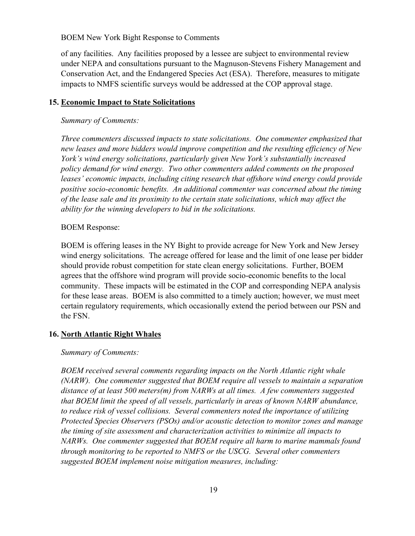of any facilities. Any facilities proposed by a lessee are subject to environmental review under NEPA and consultations pursuant to the Magnuson-Stevens Fishery Management and Conservation Act, and the Endangered Species Act (ESA). Therefore, measures to mitigate impacts to NMFS scientific surveys would be addressed at the COP approval stage.

# <span id="page-20-0"></span>**15. Economic Impact to State Solicitations**

# *Summary of Comments:*

*Three commenters discussed impacts to state solicitations. One commenter emphasized that new leases and more bidders would improve competition and the resulting efficiency of New York's wind energy solicitations, particularly given New York's substantially increased policy demand for wind energy. Two other commenters added comments on the proposed*  leases' economic impacts, including citing research that offshore wind energy could provide *positive socio-economic benefits. An additional commenter was concerned about the timing of the lease sale and its proximity to the certain state solicitations, which may affect the ability for the winning developers to bid in the solicitations.*

# BOEM Response:

BOEM is offering leases in the NY Bight to provide acreage for New York and New Jersey wind energy solicitations. The acreage offered for lease and the limit of one lease per bidder should provide robust competition for state clean energy solicitations. Further, BOEM agrees that the offshore wind program will provide socio-economic benefits to the local community. These impacts will be estimated in the COP and corresponding NEPA analysis for these lease areas. BOEM is also committed to a timely auction; however, we must meet certain regulatory requirements, which occasionally extend the period between our PSN and the FSN.

# <span id="page-20-1"></span>**16. North Atlantic Right Whales**

# *Summary of Comments:*

*BOEM received several comments regarding impacts on the North Atlantic right whale (NARW). One commenter suggested that BOEM require all vessels to maintain a separation distance of at least 500 meters(m) from NARWs at all times. A few commenters suggested that BOEM limit the speed of all vessels, particularly in areas of known NARW abundance, to reduce risk of vessel collisions. Several commenters noted the importance of utilizing Protected Species Observers (PSOs) and/or acoustic detection to monitor zones and manage the timing of site assessment and characterization activities to minimize all impacts to NARWs. One commenter suggested that BOEM require all harm to marine mammals found through monitoring to be reported to NMFS or the USCG. Several other commenters suggested BOEM implement noise mitigation measures, including:*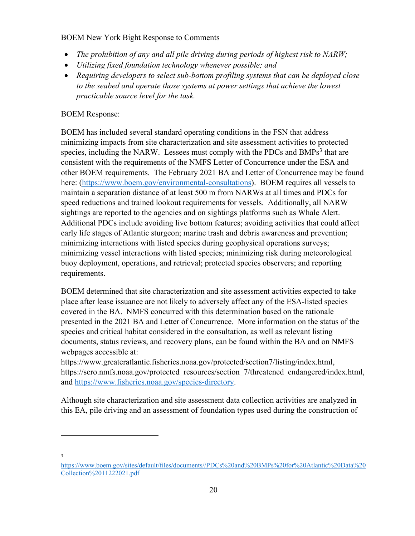- *The prohibition of any and all pile driving during periods of highest risk to NARW;*
- *Utilizing fixed foundation technology whenever possible; and*
- *Requiring developers to select sub-bottom profiling systems that can be deployed close to the seabed and operate those systems at power settings that achieve the lowest practicable source level for the task.*

# BOEM Response:

BOEM has included several standard operating conditions in the FSN that address minimizing impacts from site characterization and site assessment activities to protected species, including the NARW. Lessees must comply with the PDCs and  $BMPs<sup>3</sup>$  $BMPs<sup>3</sup>$  $BMPs<sup>3</sup>$  that are consistent with the requirements of the NMFS Letter of Concurrence under the ESA and other BOEM requirements. The February 2021 BA and Letter of Concurrence may be found here: [\(https://www.boem.gov/environmental-consultations\)](https://www.boem.gov/environmental-consultations). BOEM requires all vessels to maintain a separation distance of at least 500 m from NARWs at all times and PDCs for speed reductions and trained lookout requirements for vessels. Additionally, all NARW sightings are reported to the agencies and on sightings platforms such as Whale Alert. Additional PDCs include avoiding live bottom features; avoiding activities that could affect early life stages of Atlantic sturgeon; marine trash and debris awareness and prevention; minimizing interactions with listed species during geophysical operations surveys; minimizing vessel interactions with listed species; minimizing risk during meteorological buoy deployment, operations, and retrieval; protected species observers; and reporting requirements.

BOEM determined that site characterization and site assessment activities expected to take place after lease issuance are not likely to adversely affect any of the ESA-listed species covered in the BA. NMFS concurred with this determination based on the rationale presented in the 2021 BA and Letter of Concurrence. More information on the status of the species and critical habitat considered in the consultation, as well as relevant listing documents, status reviews, and recovery plans, can be found within the BA and on NMFS webpages accessible at:

https://www.greateratlantic.fisheries.noaa.gov/protected/section7/listing/index.html, https://sero.nmfs.noaa.gov/protected\_resources/section\_7/threatened\_endangered/index.html, and [https://www.fisheries.noaa.gov/species-directory.](https://www.fisheries.noaa.gov/species-directory)

Although site characterization and site assessment data collection activities are analyzed in this EA, pile driving and an assessment of foundation types used during the construction of

3

<span id="page-21-0"></span>[https:](https://www.boem.gov/sites/default/files/documents/PDCs%20and%20BMPs%20for%20Atlantic%20Data%20Collection%2011222021.pdf)//www.boem.gov/sites/default/files/documents//PDCs%20and%20BMPs%20for%20Atlantic%20Data%20 Collection%2011222021.pdf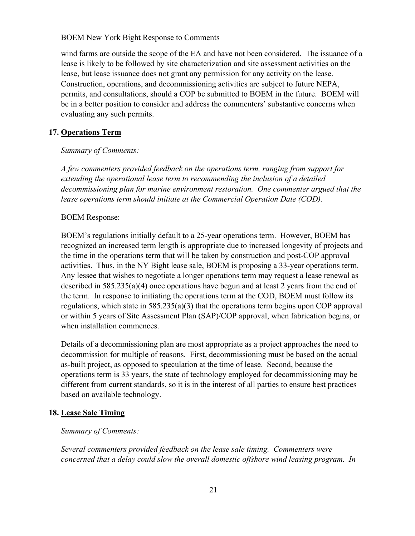wind farms are outside the scope of the EA and have not been considered. The issuance of a lease is likely to be followed by site characterization and site assessment activities on the lease, but lease issuance does not grant any permission for any activity on the lease. Construction, operations, and decommissioning activities are subject to future NEPA, permits, and consultations, should a COP be submitted to BOEM in the future. BOEM will be in a better position to consider and address the commenters' substantive concerns when evaluating any such permits.

### <span id="page-22-0"></span>**17. Operations Term**

### *Summary of Comments:*

*A few commenters provided feedback on the operations term, ranging from support for extending the operational lease term to recommending the inclusion of a detailed decommissioning plan for marine environment restoration. One commenter argued that the lease operations term should initiate at the Commercial Operation Date (COD).*

### BOEM Response:

BOEM's regulations initially default to a 25-year operations term. However, BOEM has recognized an increased term length is appropriate due to increased longevity of projects and the time in the operations term that will be taken by construction and post-COP approval activities. Thus, in the NY Bight lease sale, BOEM is proposing a 33-year operations term. Any lessee that wishes to negotiate a longer operations term may request a lease renewal as described in 585.235(a)(4) once operations have begun and at least 2 years from the end of the term. In response to initiating the operations term at the COD, BOEM must follow its regulations, which state in 585.235(a)(3) that the operations term begins upon COP approval or within 5 years of Site Assessment Plan (SAP)/COP approval, when fabrication begins, or when installation commences.

Details of a decommissioning plan are most appropriate as a project approaches the need to decommission for multiple of reasons. First, decommissioning must be based on the actual as-built project, as opposed to speculation at the time of lease. Second, because the operations term is 33 years, the state of technology employed for decommissioning may be different from current standards, so it is in the interest of all parties to ensure best practices based on available technology.

# <span id="page-22-1"></span>**18. Lease Sale Timing**

### *Summary of Comments:*

*Several commenters provided feedback on the lease sale timing. Commenters were concerned that a delay could slow the overall domestic offshore wind leasing program. In*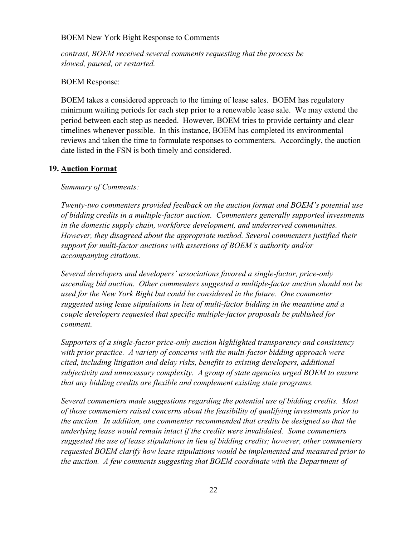*contrast, BOEM received several comments requesting that the process be slowed, paused, or restarted.*

# BOEM Response:

BOEM takes a considered approach to the timing of lease sales. BOEM has regulatory minimum waiting periods for each step prior to a renewable lease sale. We may extend the period between each step as needed. However, BOEM tries to provide certainty and clear timelines whenever possible. In this instance, BOEM has completed its environmental reviews and taken the time to formulate responses to commenters. Accordingly, the auction date listed in the FSN is both timely and considered.

### <span id="page-23-0"></span>**19. Auction Format**

### *Summary of Comments:*

*Twenty-two commenters provided feedback on the auction format and BOEM's potential use of bidding credits in a multiple-factor auction. Commenters generally supported investments in the domestic supply chain, workforce development, and underserved communities. However, they disagreed about the appropriate method. Several commenters justified their support for multi-factor auctions with assertions of BOEM's authority and/or accompanying citations.*

*Several developers and developers' associations favored a single-factor, price-only ascending bid auction. Other commenters suggested a multiple-factor auction should not be used for the New York Bight but could be considered in the future. One commenter suggested using lease stipulations in lieu of multi-factor bidding in the meantime and a couple developers requested that specific multiple-factor proposals be published for comment.*

*Supporters of a single-factor price-only auction highlighted transparency and consistency with prior practice. A variety of concerns with the multi-factor bidding approach were cited, including litigation and delay risks, benefits to existing developers, additional subjectivity and unnecessary complexity. A group of state agencies urged BOEM to ensure that any bidding credits are flexible and complement existing state programs.*

*Several commenters made suggestions regarding the potential use of bidding credits. Most of those commenters raised concerns about the feasibility of qualifying investments prior to the auction. In addition, one commenter recommended that credits be designed so that the underlying lease would remain intact if the credits were invalidated. Some commenters suggested the use of lease stipulations in lieu of bidding credits; however, other commenters requested BOEM clarify how lease stipulations would be implemented and measured prior to the auction. A few comments suggesting that BOEM coordinate with the Department of*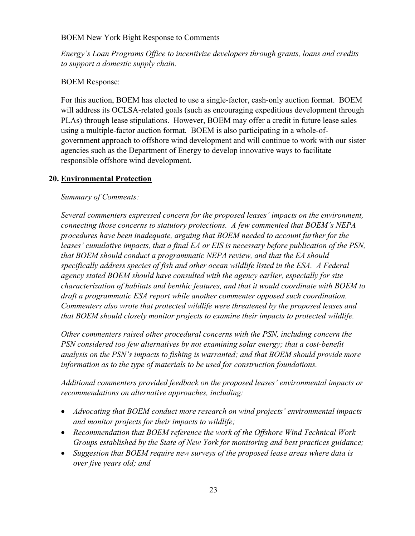*Energy's Loan Programs Office to incentivize developers through grants, loans and credits to support a domestic supply chain.*

# BOEM Response:

For this auction, BOEM has elected to use a single-factor, cash-only auction format. BOEM will address its OCLSA-related goals (such as encouraging expeditious development through PLAs) through lease stipulations. However, BOEM may offer a credit in future lease sales using a multiple-factor auction format. BOEM is also participating in a whole-ofgovernment approach to offshore wind development and will continue to work with our sister agencies such as the Department of Energy to develop innovative ways to facilitate responsible offshore wind development.

# <span id="page-24-0"></span>**20. Environmental Protection**

# *Summary of Comments:*

*Several commenters expressed concern for the proposed leases' impacts on the environment, connecting those concerns to statutory protections. A few commented that BOEM's NEPA procedures have been inadequate, arguing that BOEM needed to account further for the leases' cumulative impacts, that a final EA or EIS is necessary before publication of the PSN, that BOEM should conduct a programmatic NEPA review, and that the EA should specifically address species of fish and other ocean wildlife listed in the ESA. A Federal agency stated BOEM should have consulted with the agency earlier, especially for site characterization of habitats and benthic features, and that it would coordinate with BOEM to draft a programmatic ESA report while another commenter opposed such coordination. Commenters also wrote that protected wildlife were threatened by the proposed leases and that BOEM should closely monitor projects to examine their impacts to protected wildlife.* 

*Other commenters raised other procedural concerns with the PSN, including concern the PSN considered too few alternatives by not examining solar energy; that a cost-benefit analysis on the PSN's impacts to fishing is warranted; and that BOEM should provide more information as to the type of materials to be used for construction foundations.*

*Additional commenters provided feedback on the proposed leases' environmental impacts or recommendations on alternative approaches, including:* 

- *Advocating that BOEM conduct more research on wind projects' environmental impacts and monitor projects for their impacts to wildlife;*
- *Recommendation that BOEM reference the work of the Offshore Wind Technical Work Groups established by the State of New York for monitoring and best practices guidance;*
- *Suggestion that BOEM require new surveys of the proposed lease areas where data is over five years old; and*